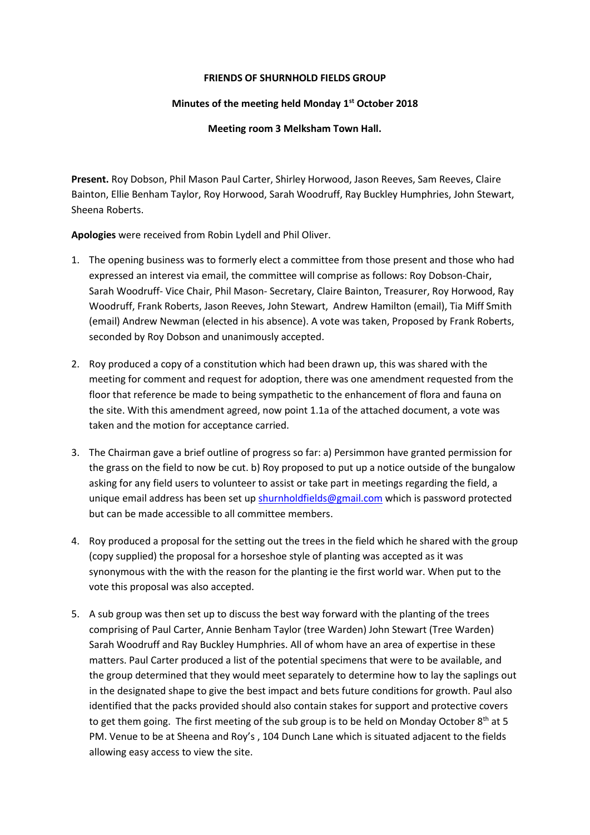## **FRIENDS OF SHURNHOLD FIELDS GROUP**

## **Minutes of the meeting held Monday 1st October 2018**

## **Meeting room 3 Melksham Town Hall.**

**Present.** Roy Dobson, Phil Mason Paul Carter, Shirley Horwood, Jason Reeves, Sam Reeves, Claire Bainton, Ellie Benham Taylor, Roy Horwood, Sarah Woodruff, Ray Buckley Humphries, John Stewart, Sheena Roberts.

**Apologies** were received from Robin Lydell and Phil Oliver.

- 1. The opening business was to formerly elect a committee from those present and those who had expressed an interest via email, the committee will comprise as follows: Roy Dobson-Chair, Sarah Woodruff- Vice Chair, Phil Mason- Secretary, Claire Bainton, Treasurer, Roy Horwood, Ray Woodruff, Frank Roberts, Jason Reeves, John Stewart, Andrew Hamilton (email), Tia Miff Smith (email) Andrew Newman (elected in his absence). A vote was taken, Proposed by Frank Roberts, seconded by Roy Dobson and unanimously accepted.
- 2. Roy produced a copy of a constitution which had been drawn up, this was shared with the meeting for comment and request for adoption, there was one amendment requested from the floor that reference be made to being sympathetic to the enhancement of flora and fauna on the site. With this amendment agreed, now point 1.1a of the attached document, a vote was taken and the motion for acceptance carried.
- 3. The Chairman gave a brief outline of progress so far: a) Persimmon have granted permission for the grass on the field to now be cut. b) Roy proposed to put up a notice outside of the bungalow asking for any field users to volunteer to assist or take part in meetings regarding the field, a unique email address has been set u[p shurnholdfields@gmail.com](mailto:shurnholdfields@gmail.com) which is password protected but can be made accessible to all committee members.
- 4. Roy produced a proposal for the setting out the trees in the field which he shared with the group (copy supplied) the proposal for a horseshoe style of planting was accepted as it was synonymous with the with the reason for the planting ie the first world war. When put to the vote this proposal was also accepted.
- 5. A sub group was then set up to discuss the best way forward with the planting of the trees comprising of Paul Carter, Annie Benham Taylor (tree Warden) John Stewart (Tree Warden) Sarah Woodruff and Ray Buckley Humphries. All of whom have an area of expertise in these matters. Paul Carter produced a list of the potential specimens that were to be available, and the group determined that they would meet separately to determine how to lay the saplings out in the designated shape to give the best impact and bets future conditions for growth. Paul also identified that the packs provided should also contain stakes for support and protective covers to get them going. The first meeting of the sub group is to be held on Monday October  $8<sup>th</sup>$  at 5 PM. Venue to be at Sheena and Roy's , 104 Dunch Lane which is situated adjacent to the fields allowing easy access to view the site.